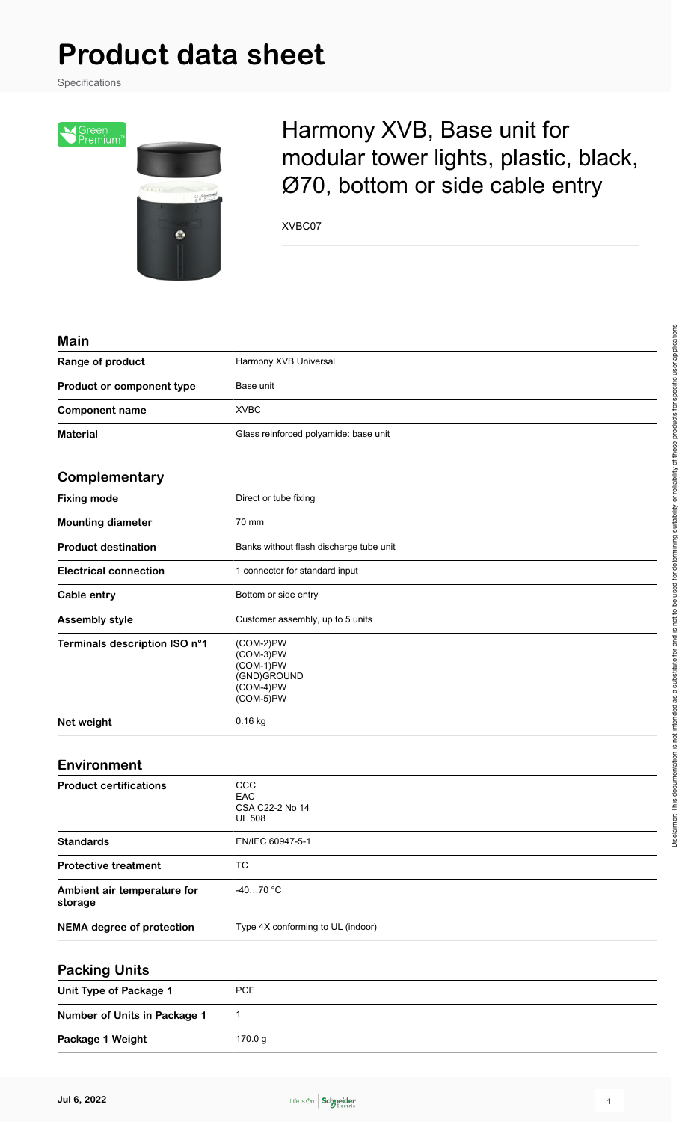Specifications



## Harmony XVB, Base unit for modular tower lights, plastic, black, Ø70, bottom or side cable entry

XVBC07

| <b>Main</b>                            |                                                                                |
|----------------------------------------|--------------------------------------------------------------------------------|
| Range of product                       | Harmony XVB Universal                                                          |
| Product or component type              | Base unit                                                                      |
| <b>Component name</b>                  | <b>XVBC</b>                                                                    |
| <b>Material</b>                        | Glass reinforced polyamide: base unit                                          |
| Complementary                          |                                                                                |
| <b>Fixing mode</b>                     | Direct or tube fixing                                                          |
| <b>Mounting diameter</b>               | 70 mm                                                                          |
| <b>Product destination</b>             | Banks without flash discharge tube unit                                        |
| <b>Electrical connection</b>           | 1 connector for standard input                                                 |
| Cable entry                            | Bottom or side entry                                                           |
| <b>Assembly style</b>                  | Customer assembly, up to 5 units                                               |
| Terminals description ISO n°1          | $(COM-2)PW$<br>(COM-3)PW<br>(COM-1)PW<br>(GND)GROUND<br>(COM-4)PW<br>(COM-5)PW |
| Net weight                             | 0.16 kg                                                                        |
| Environment                            |                                                                                |
| <b>Product certifications</b>          | CCC<br>EAC<br>CSA C22-2 No 14<br><b>UL 508</b>                                 |
| <b>Standards</b>                       | EN/IEC 60947-5-1                                                               |
| <b>Protective treatment</b>            | <b>TC</b>                                                                      |
| Ambient air temperature for<br>storage | $-4070$ °C                                                                     |
| <b>NEMA</b> degree of protection       | Type 4X conforming to UL (indoor)                                              |
| <b>Packing Units</b>                   |                                                                                |
| <b>Unit Type of Package 1</b>          | PCE                                                                            |
| Number of Units in Package 1           | $\mathbf{1}$                                                                   |
| Package 1 Weight                       | 170.0 g                                                                        |

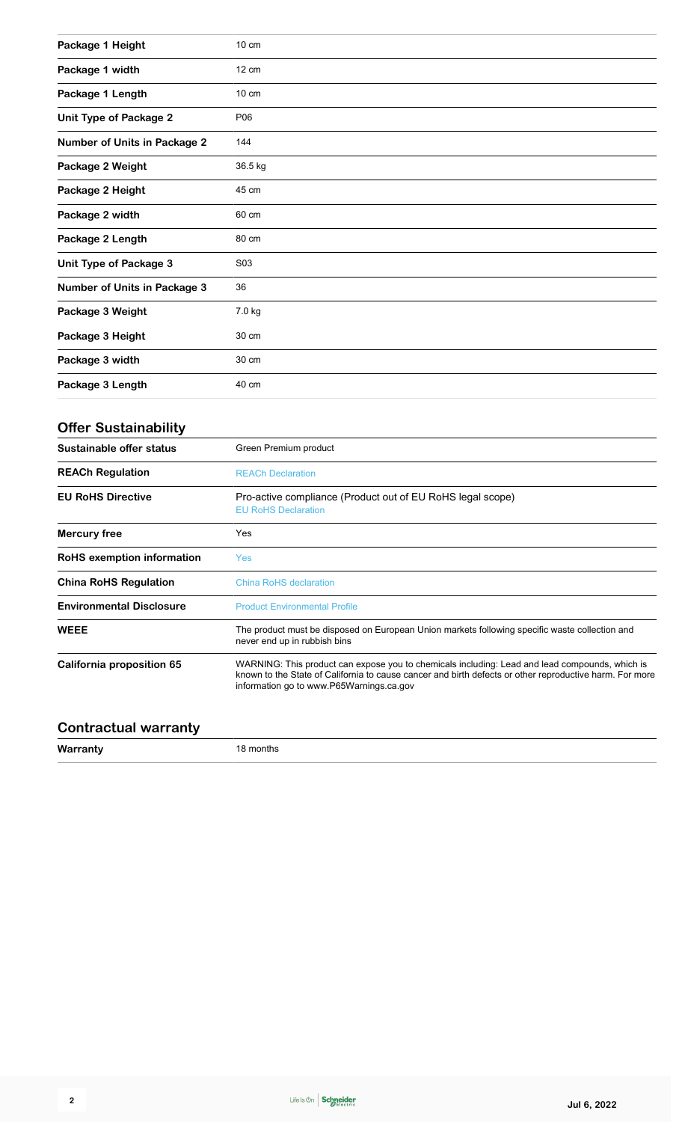| Package 1 Height                    | $10 \text{ cm}$                                                                          |
|-------------------------------------|------------------------------------------------------------------------------------------|
| Package 1 width                     | $12 \text{ cm}$                                                                          |
| Package 1 Length                    | 10 cm                                                                                    |
| <b>Unit Type of Package 2</b>       | P06                                                                                      |
| <b>Number of Units in Package 2</b> | 144                                                                                      |
| Package 2 Weight                    | 36.5 kg                                                                                  |
| Package 2 Height                    | 45 cm                                                                                    |
| Package 2 width                     | 60 cm                                                                                    |
| Package 2 Length                    | 80 cm                                                                                    |
| Unit Type of Package 3              | S03                                                                                      |
| <b>Number of Units in Package 3</b> | 36                                                                                       |
| Package 3 Weight                    | 7.0 kg                                                                                   |
| Package 3 Height                    | 30 cm                                                                                    |
| Package 3 width                     | 30 cm                                                                                    |
| Package 3 Length                    | 40 cm                                                                                    |
| <b>Offer Sustainability</b>         |                                                                                          |
| Sustainable offer status            | Green Premium product                                                                    |
| <b>REACh Regulation</b>             | <b>REACh Declaration</b>                                                                 |
| <b>EU RoHS Directive</b>            | Pro-active compliance (Product out of EU RoHS legal scope)<br><b>EU RoHS Declaration</b> |
| <b>Mercury free</b>                 | Yes                                                                                      |
| RoHS exemption information          | <b>Yes</b>                                                                               |
| China PoHS Poquiation               | China Del IC declaration                                                                 |

| <b>China RoHS Regulation</b>    | <b>China RoHS declaration</b>                                                                                                                                                                                                                         |  |  |
|---------------------------------|-------------------------------------------------------------------------------------------------------------------------------------------------------------------------------------------------------------------------------------------------------|--|--|
| <b>Environmental Disclosure</b> | <b>Product Environmental Profile</b>                                                                                                                                                                                                                  |  |  |
| <b>WEEE</b>                     | The product must be disposed on European Union markets following specific waste collection and<br>never end up in rubbish bins                                                                                                                        |  |  |
| California proposition 65       | WARNING: This product can expose you to chemicals including: Lead and lead compounds, which is<br>known to the State of California to cause cancer and birth defects or other reproductive harm. For more<br>information go to www.P65Warnings.ca.gov |  |  |

## **Contractual warranty**

**Warranty** 18 months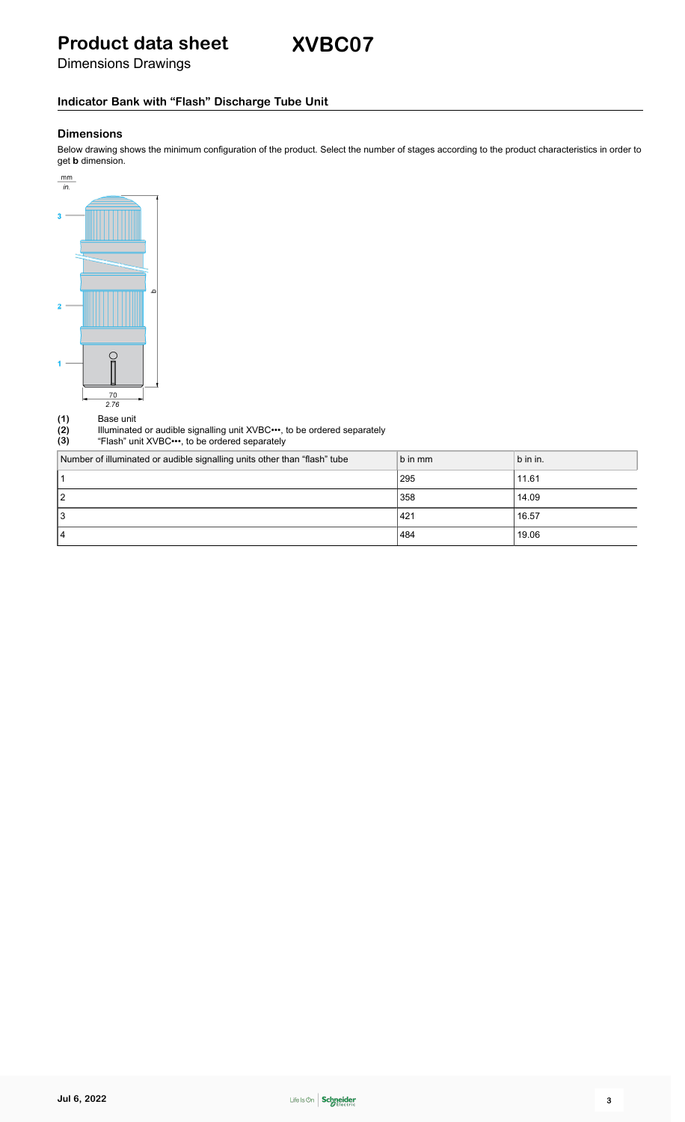**XVBC07**

Dimensions Drawings

### **Indicator Bank with "Flash" Discharge Tube Unit**

### **Dimensions**

Below drawing shows the minimum configuration of the product. Select the number of stages according to the product characteristics in order to get **b** dimension.



(1) Base unit<br>
(2) Illuminate<br>
(3) "Flash" ur **(2)** Illuminated or audible signalling unit XVBC•••, to be ordered separately

**(3)** "Flash" unit XVBC•••, to be ordered separately

| Number of illuminated or audible signalling units other than "flash" tube | b in mm | b in in. |
|---------------------------------------------------------------------------|---------|----------|
|                                                                           | 295     | 11.61    |
| 12                                                                        | 358     | 14.09    |
| 13                                                                        | 421 ا   | 16.57    |
| 14                                                                        | 484     | 19.06    |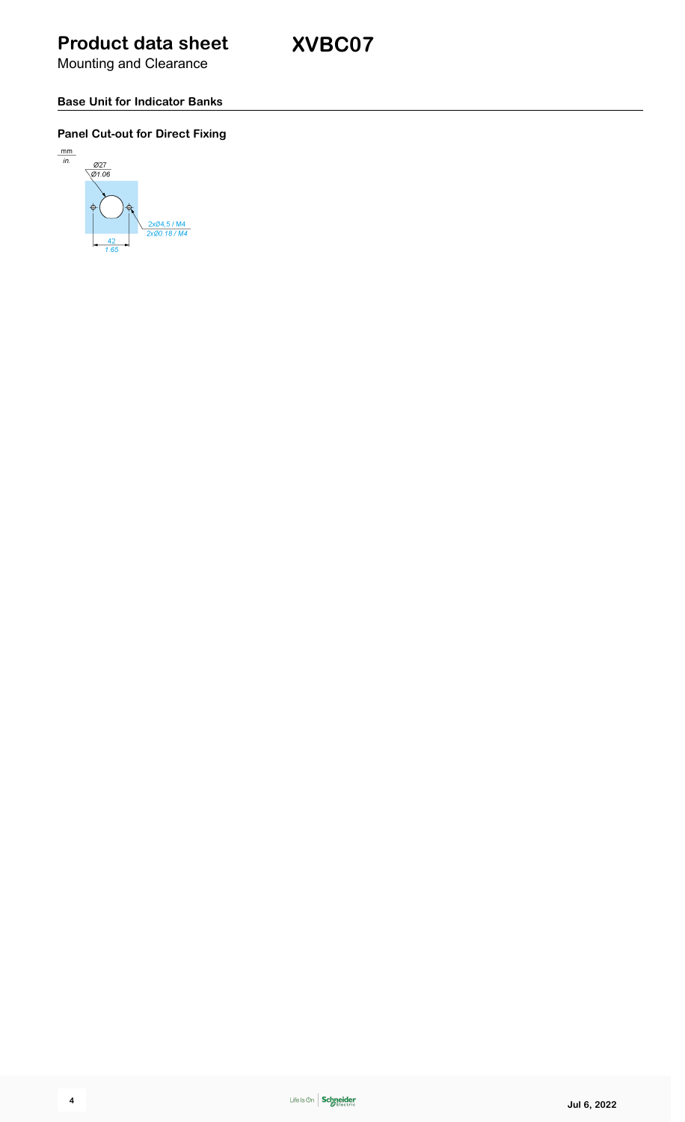**XVBC07**

Mounting and Clearance

### **Base Unit for Indicator Banks**

### **Panel Cut-out for Direct Fixing**